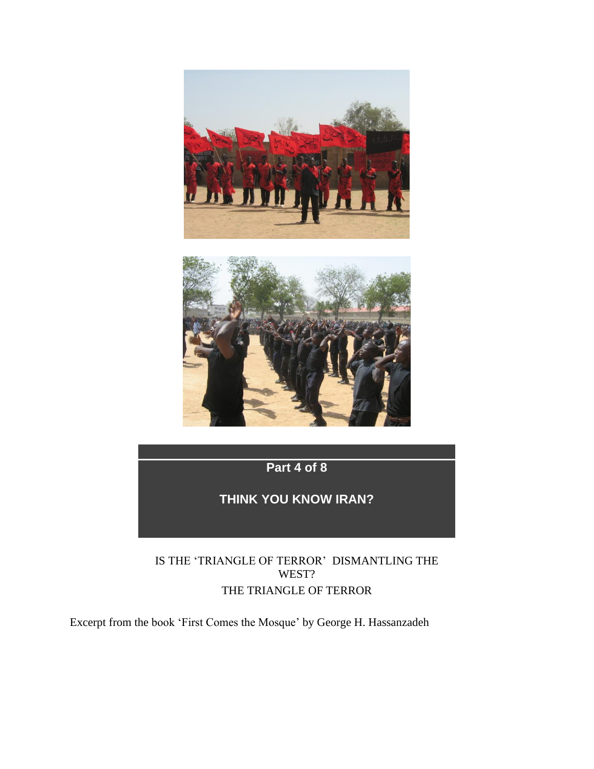



**Part 4 of 8**

**THINK YOU KNOW IRAN?**

IS THE 'TRIANGLE OF TERROR' DISMANTLING THE WEST? THE TRIANGLE OF TERROR

Excerpt from the book 'First Comes the Mosque' by George H. Hassanzadeh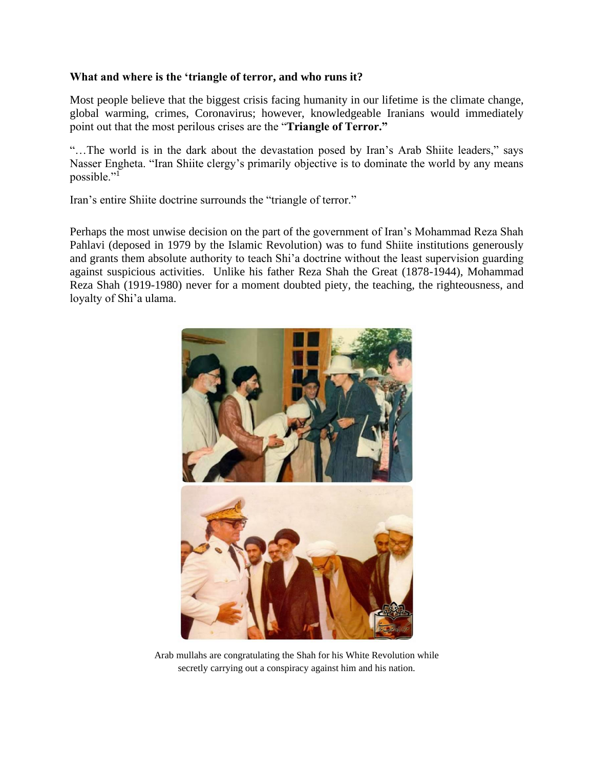## **What and where is the 'triangle of terror, and who runs it?**

Most people believe that the biggest crisis facing humanity in our lifetime is the climate change, global warming, crimes, Coronavirus; however, knowledgeable Iranians would immediately point out that the most perilous crises are the "**Triangle of Terror."**

"…The world is in the dark about the devastation posed by Iran's Arab Shiite leaders," says Nasser Engheta. "Iran Shiite clergy's primarily objective is to dominate the world by any means possible."<sup>1</sup>

Iran's entire Shiite doctrine surrounds the "triangle of terror."

Perhaps the most unwise decision on the part of the government of Iran's Mohammad Reza Shah Pahlavi (deposed in 1979 by the Islamic Revolution) was to fund Shiite institutions generously and grants them absolute authority to teach Shi'a doctrine without the least supervision guarding against suspicious activities. Unlike his father Reza Shah the Great (1878-1944), Mohammad Reza Shah (1919-1980) never for a moment doubted piety, the teaching, the righteousness, and loyalty of Shi'a ulama.



Arab mullahs are congratulating the Shah for his White Revolution while secretly carrying out a conspiracy against him and his nation.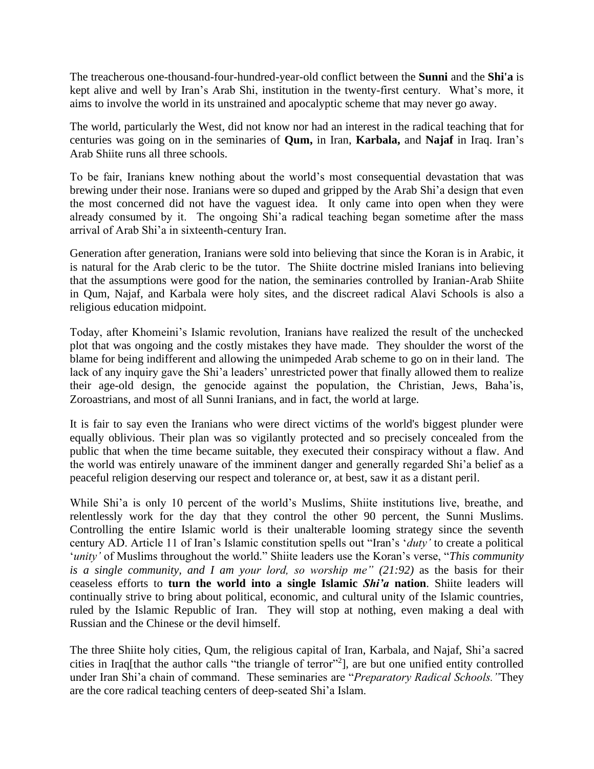The treacherous one-thousand-four-hundred-year-old conflict between the **Sunni** and the **Shi'a** is kept alive and well by Iran's Arab Shi, institution in the twenty-first century. What's more, it aims to involve the world in its unstrained and apocalyptic scheme that may never go away.

The world, particularly the West, did not know nor had an interest in the radical teaching that for centuries was going on in the seminaries of **Qum,** in Iran, **Karbala,** and **Najaf** in Iraq. Iran's Arab Shiite runs all three schools.

To be fair, Iranians knew nothing about the world's most consequential devastation that was brewing under their nose. Iranians were so duped and gripped by the Arab Shi'a design that even the most concerned did not have the vaguest idea. It only came into open when they were already consumed by it. The ongoing Shi'a radical teaching began sometime after the mass arrival of Arab Shi'a in sixteenth-century Iran.

Generation after generation, Iranians were sold into believing that since the Koran is in Arabic, it is natural for the Arab cleric to be the tutor. The Shiite doctrine misled Iranians into believing that the assumptions were good for the nation, the seminaries controlled by Iranian-Arab Shiite in Qum, Najaf, and Karbala were holy sites, and the discreet radical Alavi Schools is also a religious education midpoint.

Today, after Khomeini's Islamic revolution, Iranians have realized the result of the unchecked plot that was ongoing and the costly mistakes they have made. They shoulder the worst of the blame for being indifferent and allowing the unimpeded Arab scheme to go on in their land. The lack of any inquiry gave the Shi'a leaders' unrestricted power that finally allowed them to realize their age-old design, the genocide against the population, the Christian, Jews, Baha'is, Zoroastrians, and most of all Sunni Iranians, and in fact, the world at large.

It is fair to say even the Iranians who were direct victims of the world's biggest plunder were equally oblivious. Their plan was so vigilantly protected and so precisely concealed from the public that when the time became suitable, they executed their conspiracy without a flaw. And the world was entirely unaware of the imminent danger and generally regarded Shi'a belief as a peaceful religion deserving our respect and tolerance or, at best, saw it as a distant peril.

While Shi'a is only 10 percent of the world's Muslims, Shiite institutions live, breathe, and relentlessly work for the day that they control the other 90 percent, the Sunni Muslims. Controlling the entire Islamic world is their unalterable looming strategy since the seventh century AD. Article 11 of Iran's Islamic constitution spells out "Iran's '*duty'* to create a political '*unity'* of Muslims throughout the world." Shiite leaders use the Koran's verse, "*This community is a single community, and I am your lord, so worship me" (21:92)* as the basis for their ceaseless efforts to **turn the world into a single Islamic** *Shi'a* **nation**. Shiite leaders will continually strive to bring about political, economic, and cultural unity of the Islamic countries, ruled by the Islamic Republic of Iran. They will stop at nothing, even making a deal with Russian and the Chinese or the devil himself.

The three Shiite holy cities, Qum*,* the religious capital of Iran, Karbala, and Najaf, Shi'a sacred cities in Iraq[that the author calls "the triangle of terror"<sup>2</sup> ], are but one unified entity controlled under Iran Shi'a chain of command. These seminaries are "*Preparatory Radical Schools."*They are the core radical teaching centers of deep-seated Shi'a Islam.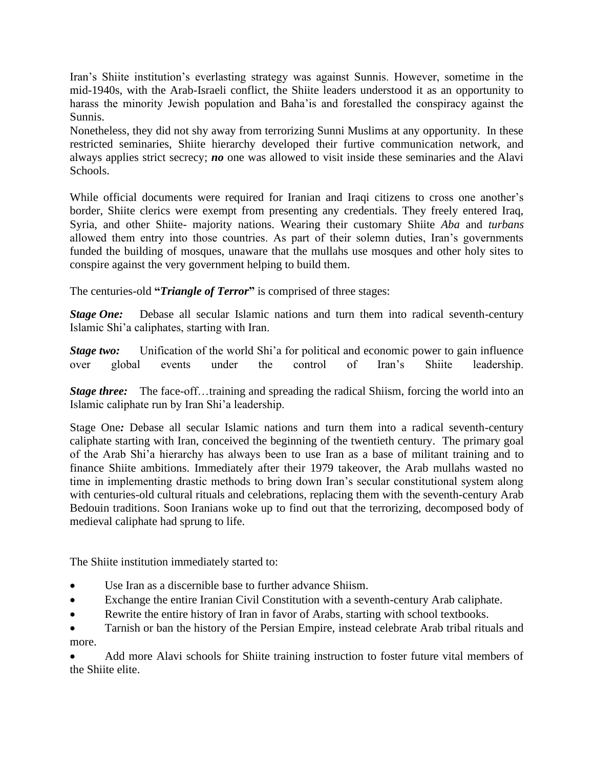Iran's Shiite institution's everlasting strategy was against Sunnis. However, sometime in the mid-1940s, with the Arab-Israeli conflict, the Shiite leaders understood it as an opportunity to harass the minority Jewish population and Baha'is and forestalled the conspiracy against the Sunnis.

Nonetheless, they did not shy away from terrorizing Sunni Muslims at any opportunity. In these restricted seminaries, Shiite hierarchy developed their furtive communication network, and always applies strict secrecy; *no* one was allowed to visit inside these seminaries and the Alavi Schools.

While official documents were required for Iranian and Iraqi citizens to cross one another's border, Shiite clerics were exempt from presenting any credentials. They freely entered Iraq, Syria, and other Shiite- majority nations. Wearing their customary Shiite *Aba* and *turbans* allowed them entry into those countries. As part of their solemn duties, Iran's governments funded the building of mosques, unaware that the mullahs use mosques and other holy sites to conspire against the very government helping to build them.

The centuries-old **"***Triangle of Terror***"** is comprised of three stages:

*Stage One:* Debase all secular Islamic nations and turn them into radical seventh-century Islamic Shi'a caliphates, starting with Iran.

*Stage two:* Unification of the world Shi'a for political and economic power to gain influence over global events under the control of Iran's Shiite leadership.

*Stage three:* The face-off...training and spreading the radical Shiism, forcing the world into an Islamic caliphate run by Iran Shi'a leadership.

Stage One*:* Debase all secular Islamic nations and turn them into a radical seventh-century caliphate starting with Iran, conceived the beginning of the twentieth century. The primary goal of the Arab Shi'a hierarchy has always been to use Iran as a base of militant training and to finance Shiite ambitions. Immediately after their 1979 takeover, the Arab mullahs wasted no time in implementing drastic methods to bring down Iran's secular constitutional system along with centuries-old cultural rituals and celebrations, replacing them with the seventh-century Arab Bedouin traditions. Soon Iranians woke up to find out that the terrorizing, decomposed body of medieval caliphate had sprung to life.

The Shiite institution immediately started to:

- Use Iran as a discernible base to further advance Shiism.
- Exchange the entire Iranian Civil Constitution with a seventh-century Arab caliphate.
- Rewrite the entire history of Iran in favor of Arabs, starting with school textbooks.

• Tarnish or ban the history of the Persian Empire, instead celebrate Arab tribal rituals and more.

• Add more Alavi schools for Shiite training instruction to foster future vital members of the Shiite elite.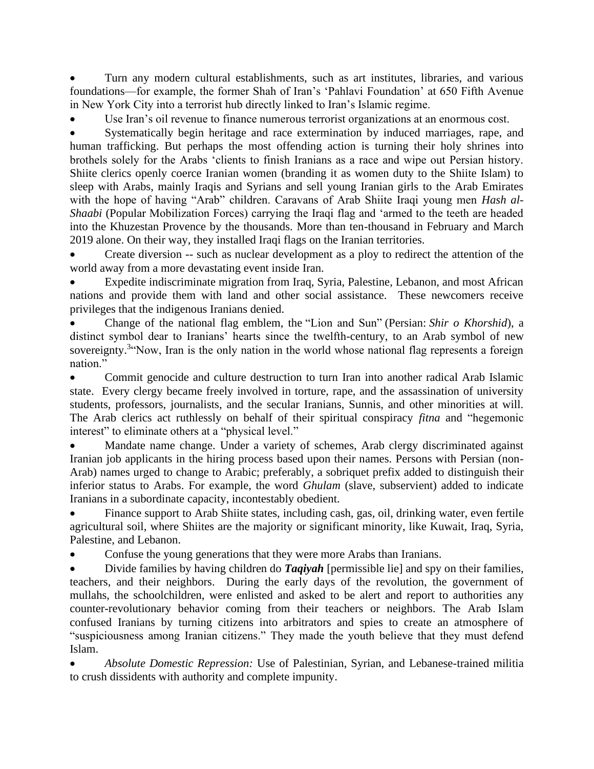• Turn any modern cultural establishments, such as art institutes, libraries, and various foundations—for example, the former Shah of Iran's 'Pahlavi Foundation' at 650 Fifth Avenue in New York City into a terrorist hub directly linked to Iran's Islamic regime.

Use Iran's oil revenue to finance numerous terrorist organizations at an enormous cost.

Systematically begin heritage and race extermination by induced marriages, rape, and human trafficking. But perhaps the most offending action is turning their holy shrines into brothels solely for the Arabs 'clients to finish Iranians as a race and wipe out Persian history. Shiite clerics openly coerce Iranian women (branding it as women duty to the Shiite Islam) to sleep with Arabs, mainly Iraqis and Syrians and sell young Iranian girls to the Arab Emirates with the hope of having "Arab" children. Caravans of Arab Shiite Iraqi young men *Hash al-Shaabi* (Popular Mobilization Forces) carrying the Iraqi flag and 'armed to the teeth are headed into the Khuzestan Provence by the thousands. More than ten-thousand in February and March 2019 alone. On their way, they installed Iraqi flags on the Iranian territories.

• Create diversion -- such as nuclear development as a ploy to redirect the attention of the world away from a more devastating event inside Iran.

• Expedite indiscriminate migration from Iraq, Syria, Palestine, Lebanon, and most African nations and provide them with land and other social assistance. These newcomers receive privileges that the indigenous Iranians denied.

• Change of the national flag emblem, the "Lion and Sun" [\(Persian:](https://en.wikipedia.org/wiki/Persian_language) *Shir o Khorshid*), a distinct symbol dear to Iranians' hearts since the twelfth-century, to an Arab symbol of new sovereignty.<sup>3</sup> Now, Iran is the only nation in the world whose national flag represents a foreign nation."

• Commit genocide and culture destruction to turn Iran into another radical Arab Islamic state. Every clergy became freely involved in torture, rape, and the assassination of university students, professors, journalists, and the secular Iranians, Sunnis, and other minorities at will. The Arab clerics act ruthlessly on behalf of their spiritual conspiracy *fitna* and "hegemonic interest" to eliminate others at a "physical level."

Mandate name change. Under a variety of schemes, Arab clergy discriminated against Iranian job applicants in the hiring process based upon their names. Persons with Persian (non-Arab) names urged to change to Arabic; preferably, a sobriquet prefix added to distinguish their inferior status to Arabs. For example, the word *Ghulam* (slave, subservient) added to indicate Iranians in a subordinate capacity, incontestably obedient.

• Finance support to Arab Shiite states, including cash, gas, oil, drinking water, even fertile agricultural soil, where Shiites are the majority or significant minority, like Kuwait, Iraq, Syria, Palestine, and Lebanon.

• Confuse the young generations that they were more Arabs than Iranians.

• Divide families by having children do *Taqiyah* [permissible lie] and spy on their families, teachers, and their neighbors. During the early days of the revolution, the government of mullahs, the schoolchildren, were enlisted and asked to be alert and report to authorities any counter-revolutionary behavior coming from their teachers or neighbors. The Arab Islam confused Iranians by turning citizens into arbitrators and spies to create an atmosphere of "suspiciousness among Iranian citizens." They made the youth believe that they must defend Islam.

• *Absolute Domestic Repression:* Use of Palestinian, Syrian, and Lebanese-trained militia to crush dissidents with authority and complete impunity.